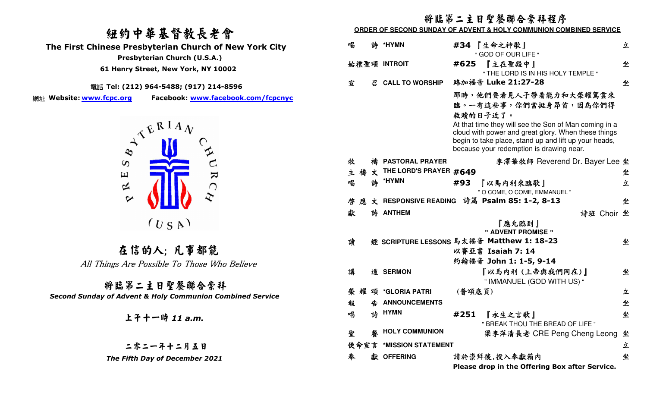## 紐約中華基督教長老會 **The First Chinese Presbyterian Church of New York City Presbyterian Church (U.S.A.) 61 Henry Street, New York, NY 10002**

電話 **Tel: (212) 964-5488; (917) 214-8596** 

網址 Website: www.fcpc.org **Facebook: www.facebook.com/fcpcnyc** 



在信的人; 凡事都能 All Things Are Possible To Those Who Believe

 將臨第二主日聖餐聯合崇拜 *Second Sunday of Advent & Holy Communion Combined Service* 

上午十一時 *11 a.m.* 

二零二一年十二月五日 *The Fifth Day of December 2021* 

# 將臨第二主日聖餐聯合崇拜程序

**ORDER OF SECOND SUNDAY OF ADVENT & HOLY COMMUNION COMBINED SERVICE** 

| 唱    |   |   | 詩 *HYMN                | 『生命之神歌』<br>#34<br>" GOD OF OUR LIFE "                                                                                                                                                                                                                                           | 立 |
|------|---|---|------------------------|---------------------------------------------------------------------------------------------------------------------------------------------------------------------------------------------------------------------------------------------------------------------------------|---|
|      |   |   | 始禮聖頌 INTROIT           | 『主在聖殿中』<br>#625<br>" THE LORD IS IN HIS HOLY TEMPLE "                                                                                                                                                                                                                           | 坐 |
| 宣    |   | 召 | <b>CALL TO WORSHIP</b> | 路加福音 Luke 21:27-28                                                                                                                                                                                                                                                              | 坐 |
|      |   |   |                        | 那時,他們要看見人子帶着能力和大榮耀駕雲來<br>臨。一有這些事,你們當挺身昂首,因為你們得<br>救贖的日子近了。<br>At that time they will see the Son of Man coming in a<br>cloud with power and great glory. When these things<br>begin to take place, stand up and lift up your heads,<br>because your redemption is drawing near. |   |
| 牧    |   | 椿 | <b>PASTORAL PRAYER</b> | 李澤華牧師 Reverend Dr. Bayer Lee 坐                                                                                                                                                                                                                                                  |   |
| 主禧文  |   |   | THE LORD'S PRAYER #649 |                                                                                                                                                                                                                                                                                 | 坐 |
| 唱    |   |   | 詩 *HYMN                | #93<br>『以馬内利來臨歌』<br>" O COME, O COME, EMMANUEL "                                                                                                                                                                                                                                | 立 |
| 啓    | 雁 |   |                        | 文 RESPONSIVE READING 詩篇 Psalm 85: 1-2, 8-13                                                                                                                                                                                                                                     | 坐 |
| 獻    |   |   | 詩 ANTHEM               | 詩班 Choir 坐                                                                                                                                                                                                                                                                      |   |
|      |   |   |                        | 『應允臨到』<br>" ADVENT PROMISE "                                                                                                                                                                                                                                                    |   |
| 讀    |   |   |                        | 經 SCRIPTURE LESSONS 馬太福音 Matthew 1: 18-23                                                                                                                                                                                                                                       | 坐 |
|      |   |   |                        | 以賽亞書 Isaiah 7: 14                                                                                                                                                                                                                                                               |   |
|      |   |   |                        | 約翰福音 John 1: 1-5, 9-14                                                                                                                                                                                                                                                          |   |
| 講    |   |   | 道 SERMON               | 『以馬内利 (上帝與我們同在)』<br>" IMMANUEL (GOD WITH US) "                                                                                                                                                                                                                                  | 坐 |
|      |   |   | 榮耀頌 *GLORIA PATRI      | (普頌底頁)                                                                                                                                                                                                                                                                          | 立 |
| 報    |   | 告 | <b>ANNOUNCEMENTS</b>   |                                                                                                                                                                                                                                                                                 | 坐 |
| 唱    |   |   | 詩 HYMN                 | #251<br>『永生之言歌』<br>" BREAK THOU THE BREAD OF LIFE "                                                                                                                                                                                                                             | 坐 |
| 聖    |   |   | <b>HOLY COMMUNION</b>  | 梁李萍清長老 CRE Peng Cheng Leong                                                                                                                                                                                                                                                     | 坐 |
| 使命宣言 |   |   | *MISSION STATEMENT     |                                                                                                                                                                                                                                                                                 | 立 |
| 奉    |   |   | 獻 OFFERING             | 請於崇拜後,投入奉獻箱内                                                                                                                                                                                                                                                                    | 坐 |
|      |   |   |                        | Please drop in the Offering Box after Service.                                                                                                                                                                                                                                  |   |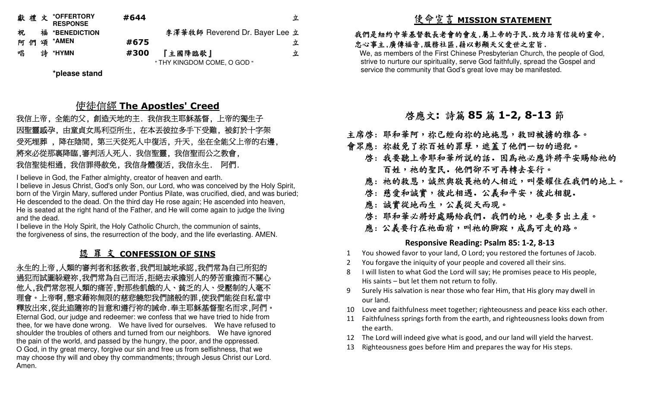|     | 獻禮文 *OFFERTORY<br><b>RESPONSE</b> | #644 |                                | 立 |
|-----|-----------------------------------|------|--------------------------------|---|
| 祝   | 福 *BENEDICTION                    |      | 李澤華牧師 Reverend Dr. Bayer Lee 立 |   |
| 阿 們 | 頌 *AMEN                           | #675 |                                | 立 |
| 唱   | 詩 *HYMN                           | #300 | 『主國降臨歌』                        | 立 |
|     |                                   |      | " THY KINGDOM COME, O GOD "    |   |

**\*please stand** 

# 使<u>徒信經 The Apostles' Creed</u><br>☆ 創造天地的主 我<del>自我</del>主取<del>解其</del>督 ト

 我信上帝, 全能的父, 創造天地的主. 我信我主耶穌基督, 上帝的獨生子 因聖靈感孕, 由童貞女馬利亞所生, 在本丟彼拉多手下受難, 被釘於十字架 受死埋葬 , 降在陰間, 第三天從死人中復活, 升天, 坐在全能父上帝的右邊, 將來必從那裏降臨,審判活人死人. 我信聖靈, 我信聖而公之教會, 我信聖徒相通, 我信罪得赦免, 我信身體復活, 我信永生. 阿們.

I believe in God, the Father almighty, creator of heaven and earth.

 I believe in Jesus Christ, God's only Son, our Lord, who was conceived by the Holy Spirit, born of the Virgin Mary, suffered under Pontius Pilate, was crucified, died, and was buried; He descended to the dead. On the third day He rose again; He ascended into heaven, He is seated at the right hand of the Father, and He will come again to judge the living and the dead.

 I believe in the Holy Spirit, the Holy Catholic Church, the communion of saints, the forgiveness of sins, the resurrection of the body, and the life everlasting. AMEN.

# 認 罪 文 **CONFESSION OF SINS**

 永生的上帝,人類的審判者和拯救者,我們坦誠地承認,我們常為自己所犯的 過犯而試圖躲避祢,我們常為自己而活,拒絕去承擔別人的勞苦重擔而不關心 他人,我們常忽視人類的痛苦,對那些飢餓的人、貧乏的人、受壓制的人毫不 理會。上帝啊,懇求藉祢無限的慈悲饒恕我們諸般的罪,使我們能從自私當中 釋放出來,從此追隨祢的旨意和遵行祢的誡命.奉主耶穌基督聖名而求,阿們。 Eternal God, our judge and redeemer: we confess that we have tried to hide from thee, for we have done wrong. We have lived for ourselves. We have refused to shoulder the troubles of others and turned from our neighbors. We have ignored the pain of the world, and passed by the hungry, the poor, and the oppressed. O God, in thy great mercy, forgive our sin and free us from selfishness, that we may choose thy will and obey thy commandments; through Jesus Christ our Lord. Amen.

# 使命宣言 **MISSION STATEMENT**

#### 我們是紐約中華基督教長老會的會友,屬上帝的子民.致力培育信徒的靈命, 忠心事主,廣傳福音,服務社區,藉以彰顯天父愛世之宏旨.

 We, as members of the First Chinese Presbyterian Church, the people of God, strive to nurture our spirituality, serve God faithfully, spread the Gospel and service the community that God's great love may be manifested.

# 啟應文**:** 詩篇 **<sup>85</sup>** 篇 **1-2, 8-13** 節

主席啓: 耶和華阿,祢已經向祢的地施恩,救回被擄的雅各。

- 會眾應: 祢赦免了祢百姓的罪孽,遮蓋了他們一切的過犯。
	- 啓:我要聽上帝耶和華所説的話. 因為祂必應許將平安賜給祂的 百姓,祂的聖民.他們卻不可再轉去妄行。
- 應: 祂的救恩,誠然與敬畏祂的人相近,叫榮耀住在我們的地上。
- 啓: 慈愛和誠實,彼此相遇. 公義和平安,彼此相親.
- 應: 誠實從地而生,公義從天而現。
	- 啓:耶和華必將好處賜給我們. 我們的地,也要多出土產。
	- 應: 公義要行在祂面前,叫祂的腳蹤,成為可走的路。

#### **Responsive Reading: Psalm 85: 1-2, 8-13**

- 1You showed favor to your land, O Lord; you restored the fortunes of Jacob.
- 2You forgave the iniquity of your people and covered all their sins.
- 8 I will listen to what God the Lord will say; He promises peace to His people, His saints – but let them not return to folly.
- 9 Surely His salvation is near those who fear Him, that His glory may dwell in our land.
- 10 Love and faithfulness meet together; righteousness and peace kiss each other.
- 11 Faithfulness springs forth from the earth, and righteousness looks down from the earth.
- 12 The Lord will indeed give what is good, and our land will yield the harvest.
- 13 Righteousness goes before Him and prepares the way for His steps.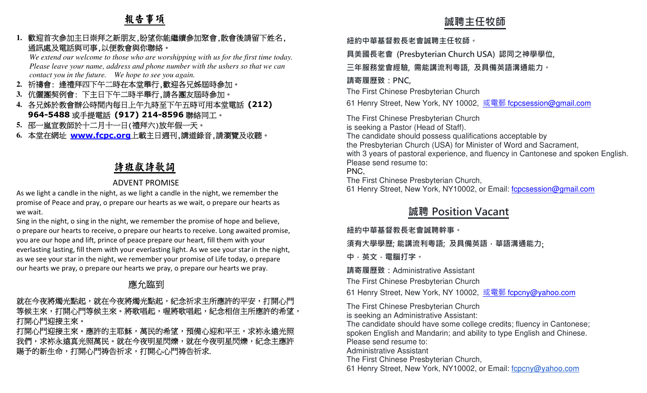# 報告事項

#### **1.**歡迎首次參加主日崇拜之新朋友,盼望你能繼續參加聚會,散會後請留下姓名, 通訊處及電話與司事,以便教會與你聯絡。

  *We extend our welcome to those who are worshipping with us for the first time today. Please leave your name, address and phone number with the ushers so that we can contact you in the future. We hope to see you again.* 

- **2.**祈禱會: 逢禮拜四下午二時在本堂舉行,歡迎各兄姊屆時參加。
- **3.**伉儷團契例會: 下主日下午二時半舉行,請各團友屆時參加。
- **4.**各兄姊於教會辦公時間內每日上午九時至下午五時可用本堂電話 **(212) 964-5488**或手提電話 **(917) 214-8596**聯絡同工。
- **5.**邵一嵐宣教師於十二月十一日(禮拜六)放年假一天。
- **6.**本堂在網址 **www.fcpc.org** 上載主日週刊,講道錄音,請瀏覽及收聽。

# 詩班獻詩歌詞

### ADVENT PROMISE

 As we light a candle in the night, as we light a candle in the night, we remember the promise of Peace and pray, o prepare our hearts as we wait, o prepare our hearts as we wait.

Sing in the night, o sing in the night, we remember the promise of hope and believe, o prepare our hearts to receive, o prepare our hearts to receive. Long awaited promise, you are our hope and lift, prince of peace prepare our heart, fill them with your everlasting lasting, fill them with your everlasting light. As we see your star in the night, as we see your star in the night, we remember your promise of Life today, o prepare our hearts we pray, o prepare our hearts we pray, o prepare our hearts we pray.L. 敵名音文会加半日半昇と新聞、航空保護部署を制度を、最低には、Figure 2018年の<br>
Note that the control of the property of the second interval of the second of the second of the second of the second of the second of the second of the second of the secon

# 應允臨到

### 就在今夜將燭光點起,紀念祈求主所應許的平安,打開心門 等候主來,打開心門等候主來。將歌唱起,喔將歌唱起,紀念相信主所應許的希望, 打開心門迎接主來。

打開心門迎接主來。應許的主耶穌,萬民的希望,預備心迎和平王,求袮永遠光照 我們,求袮永遠真光照萬民。就在今夜明星閃爍,就在今夜明星閃爍,紀念主應許 賜予的新生命,打開心門祷告祈求.

**紐約中華基督教⻑老會誠聘主任牧師。** 

**具美國⻑老會 (Presbyterian Church USA) 認同之神學學位,** 

**三年服務堂會經驗, 需能講流利粵語, 及具備英語溝通能力。** 

#### **請寄履歷致:PNC,**

The First Chinese Presbyterian Church

61 Henry Street, New York, NY 10002, <u>或電郵 f<mark>cpcsession@gmail.com</mark></u>

The First Chinese Presbyterian Church is seeking a Pastor (Head of Staff). The candidate should possess qualifications acceptable by the Presbyterian Church (USA) for Minister of Word and Sacrament, with 3 years of pastoral experience, and fluency in Cantonese and spoken English.Please send resume to: PNC,

The First Chinese Presbyterian Church,

61 Henry Street, New York, NY10002, or Email: fcpcsession@gmail.com

# **誠聘 Position Vacant**

#### **紐約中華基督教⻑老會誠聘幹事。**

**須有大學學歷; 能講流利粵語; 及具備英語,華語溝通能力**;

**中,英文,電腦打字。 請寄履歷致:**Administrative Assistant

The First Chinese Presbyterian Church

61 Henry Street, New York, NY 10002, <u>或電郵 fcpcny@yahoo.com</u>

The First Chinese Presbyterian Church is seeking an Administrative Assistant:

 The candidate should have some college credits; fluency in Cantonese; spoken English and Mandarin; and ability to type English and Chinese.Please send resume to:

Administrative Assistant

The First Chinese Presbyterian Church,

61 Henry Street, New York, NY10002, or Email: fcpcny@yahoo.com